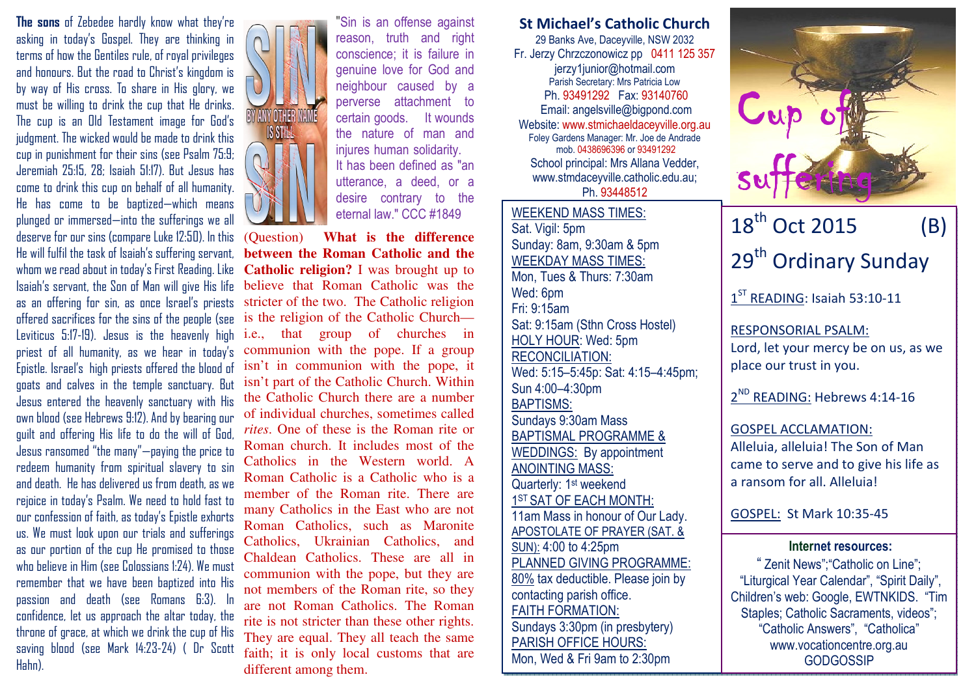The sons of Zebedee hardly know what they're asking in today's Gospel. They are thinking in terms of how the Gentiles rule, of royal privileges and honours. But the road to Christ's kingdom is by way of His cross. To share in His glory, we must be willing to drink the cup that He drinks. The cup is an Old Testament image for God's judgment. The wicked would be made to drink this cup in punishment for their sins (see Psalm 75:9; Jeremiah 25:15, 28; Isaiah 51:17). But Jesus has come to drink this cup on behalf of all humanity. He has come to be baptized—which means plunged or immersed—into the sufferings we all deserve for our sins (compare Luke 12:50). In this He will fulfil the task of Isaiah's suffering servant, whom we read about in today's First Reading. Like Isaiah's servant, the Son of Man will give His life as an offering for sin, as once Israel's priests offered sacrifices for the sins of the people (see Leviticus 5:17-19). Jesus is the heavenly high priest of all humanity, as we hear in today's Epistle. Israel's high priests offered the blood of goats and calves in the temple sanctuary. But Jesus entered the heavenly sanctuary with His own blood (see Hebrews 9:12). And by bearing our guilt and offering His life to do the will of God, Jesus ransomed "the many"—paying the price to redeem humanity from spiritual slavery to sin and death. He has delivered us from death, as we rejoice in today's Psalm. We need to hold fast to our confession of faith, as today's Epistle exhorts us. We must look upon our trials and sufferings as our portion of the cup He promised to those who believe in Him (see Colossians 1:24). We must remember that we have been baptized into His passion and death (see Romans 6:3). In confidence, let us approach the altar today, the throne of grace, at which we drink the cup of His saving blood (see Mark 14:23-24) ( Dr Scott Hahn).



"Sin is an offense against reason, truth and right conscience; it is failure in genuine love for God and neighbour caused by a perverse attachment to certain goods. It wounds the nature of man and injures human solidarity. It has been defined as "an utterance, a deed, or a desire contrary to the eternal law." CCC #1849

(Question) **What is the difference between the Roman Catholic and the Catholic religion?** I was brought up to believe that Roman Catholic was the stricter of the two. The Catholic religion is the religion of the Catholic Church i.e., that group of churches in communion with the pope. If a group isn't in communion with the pope, it isn't part of the Catholic Church. Within the Catholic Church there are a number of individual churches, sometimes called *rites*. One of these is the Roman rite or Roman church. It includes most of the Catholics in the Western world. A Roman Catholic is a Catholic who is a member of the Roman rite. There are many Catholics in the East who are not Roman Catholics, such as Maronite Catholics, Ukrainian Catholics, and Chaldean Catholics. These are all in communion with the pope, but they are not members of the Roman rite, so they are not Roman Catholics. The Roman rite is not stricter than these other rights. They are equal. They all teach the same faith; it is only local customs that are different among them.

St Michael's Catholic Church 29 Banks Ave, Daceyville, NSW 2032 Fr. Jerzy Chrzczonowicz pp 0411 125 357 jerzy1junior@hotmail.com Parish Secretary: Mrs Patricia Low Ph. 93491292 Fax: 93140760 Email: angelsville@bigpond.com Website: www.stmichaeldaceyville.org.au Foley Gardens Manager: Mr. Joe de Andrade mob. 0438696396 or 93491292 School principal: Mrs Allana Vedder, www.stmdaceyville.catholic.edu.au; Ph. 93448512

WEEKEND MASS TIMES:Sat. Vigil: 5pm Sunday: 8am, 9:30am & 5pm WEEKDAY MASS TIMES: Mon, Tues & Thurs: 7:30am Wed: 6pm Fri: 9:15am Sat: 9:15am (Sthn Cross Hostel) HOLY HOUR: Wed: 5pm RECONCILIATION: Wed: 5:15–5:45p: Sat: 4:15–4:45pm; Sun 4:00–4:30pm BAPTISMS: Sundays 9:30am Mass BAPTISMAL PROGRAMME & WEDDINGS: By appointment ANOINTING MASS: Quarterly: 1<sup>st</sup> weekend 1ST SAT OF EACH MONTH: 11am Mass in honour of Our Lady. APOSTOLATE OF PRAYER (SAT. & SUN): 4:00 to 4:25pm PLANNED GIVING PROGRAMME: 80% tax deductible. Please join by contacting parish office. FAITH FORMATION: Sundays 3:30pm (in presbytery) PARISH OFFICE HOURS: Mon, Wed & Fri 9am to 2:30pm



29<sup>th</sup> Ordinary Sunday

1<sup>ST</sup> READING: Isaiah 53:10-11

RESPONSORIAL PSALM: Lord, let your mercy be on us, as we place our trust in you.

2<sup>ND</sup> READING: Hebrews 4:14-16

GOSPEL ACCLAMATION: Alleluia, alleluia! The Son of Man came to serve and to give his life as a ransom for all. Alleluia!

GOSPEL: St Mark 10:35-45

## Internet resources:

 " Zenit News";"Catholic on Line"; "Liturgical Year Calendar", "Spirit Daily", Children's web: Google, EWTNKIDS. "Tim Staples: Catholic Sacraments, videos": "Catholic Answers", "Catholica" www.vocationcentre.org.au **GODGOSSIP**